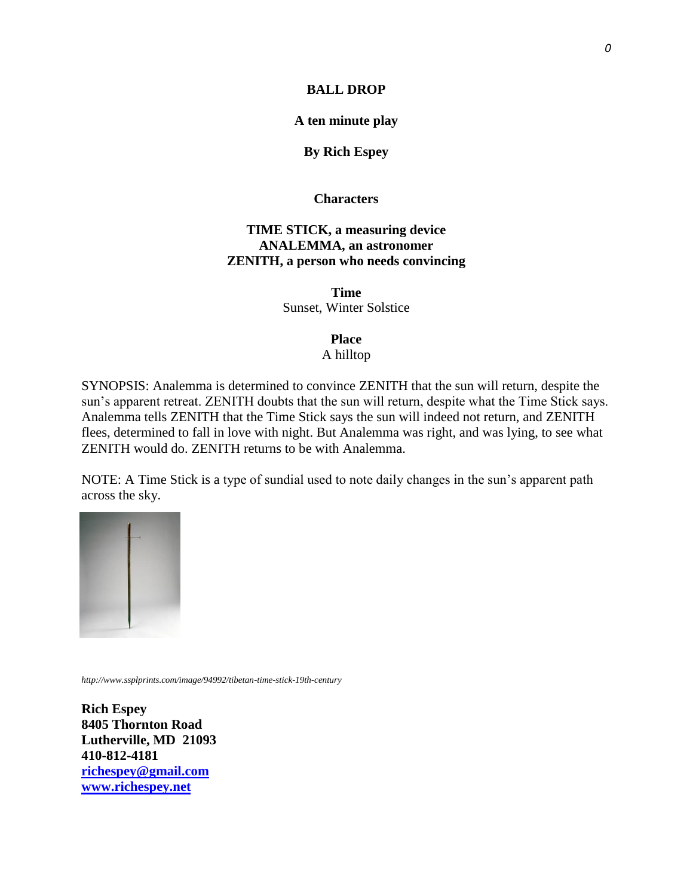# **BALL DROP**

# **A ten minute play**

# **By Rich Espey**

# **Characters**

# **TIME STICK, a measuring device ANALEMMA, an astronomer ZENITH, a person who needs convincing**

**Time** Sunset, Winter Solstice

# **Place**

A hilltop

SYNOPSIS: Analemma is determined to convince ZENITH that the sun will return, despite the sun's apparent retreat. ZENITH doubts that the sun will return, despite what the Time Stick says. Analemma tells ZENITH that the Time Stick says the sun will indeed not return, and ZENITH flees, determined to fall in love with night. But Analemma was right, and was lying, to see what ZENITH would do. ZENITH returns to be with Analemma.

NOTE: A Time Stick is a type of sundial used to note daily changes in the sun's apparent path across the sky.



*http://www.ssplprints.com/image/94992/tibetan-time-stick-19th-century*

**Rich Espey 8405 Thornton Road Lutherville, MD 21093 410-812-4181 [richespey@gmail.com](mailto:richespey@gmail.com) [www.richespey.net](http://www.richespey.net/)**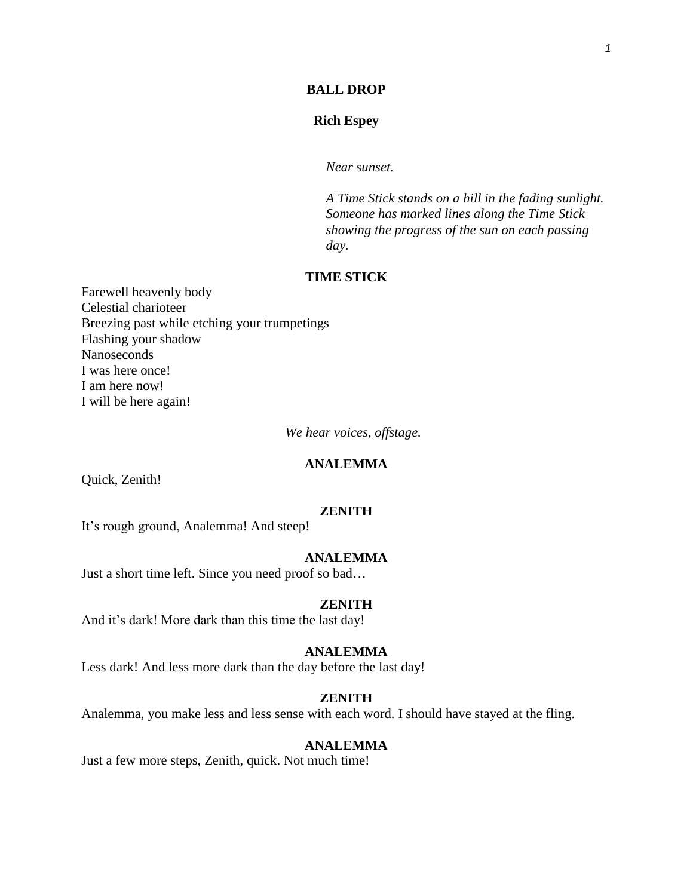### **BALL DROP**

# **Rich Espey**

*Near sunset.*

*A Time Stick stands on a hill in the fading sunlight. Someone has marked lines along the Time Stick showing the progress of the sun on each passing day.*

### **TIME STICK**

Farewell heavenly body Celestial charioteer Breezing past while etching your trumpetings Flashing your shadow Nanoseconds I was here once! I am here now! I will be here again!

*We hear voices, offstage.*

### **ANALEMMA**

Quick, Zenith!

### **ZENITH**

It's rough ground, Analemma! And steep!

### **ANALEMMA**

Just a short time left. Since you need proof so bad…

### **ZENITH**

And it's dark! More dark than this time the last day!

### **ANALEMMA**

Less dark! And less more dark than the day before the last day!

# **ZENITH**

Analemma, you make less and less sense with each word. I should have stayed at the fling.

### **ANALEMMA**

Just a few more steps, Zenith, quick. Not much time!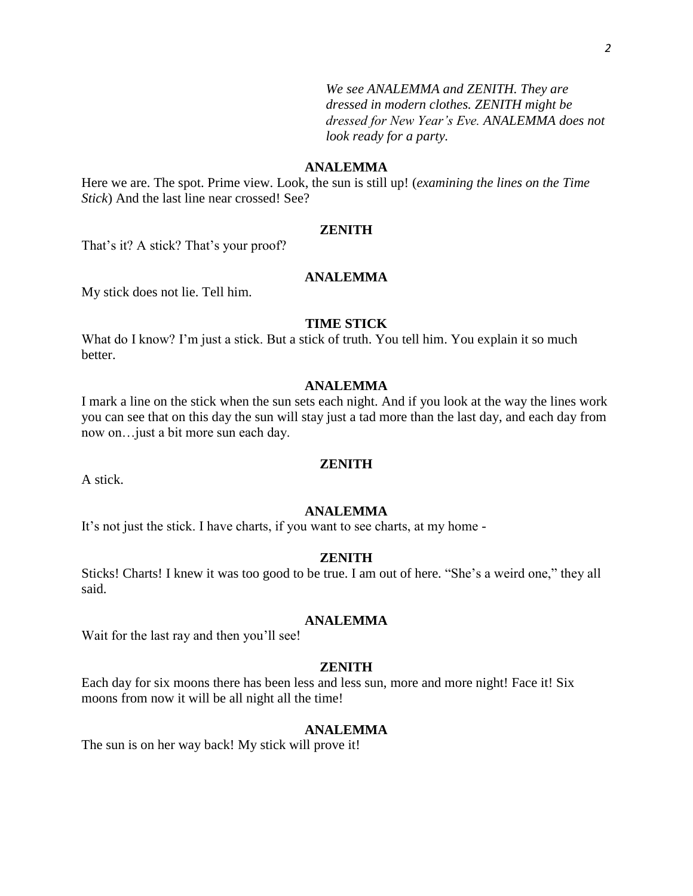*We see ANALEMMA and ZENITH. They are dressed in modern clothes. ZENITH might be dressed for New Year's Eve. ANALEMMA does not look ready for a party.*

# **ANALEMMA**

Here we are. The spot. Prime view. Look, the sun is still up! (*examining the lines on the Time Stick*) And the last line near crossed! See?

### **ZENITH**

That's it? A stick? That's your proof?

### **ANALEMMA**

My stick does not lie. Tell him.

### **TIME STICK**

What do I know? I'm just a stick. But a stick of truth. You tell him. You explain it so much better.

### **ANALEMMA**

I mark a line on the stick when the sun sets each night. And if you look at the way the lines work you can see that on this day the sun will stay just a tad more than the last day, and each day from now on…just a bit more sun each day.

### **ZENITH**

A stick.

### **ANALEMMA**

It's not just the stick. I have charts, if you want to see charts, at my home -

### **ZENITH**

Sticks! Charts! I knew it was too good to be true. I am out of here. "She's a weird one," they all said.

### **ANALEMMA**

Wait for the last ray and then you'll see!

### **ZENITH**

Each day for six moons there has been less and less sun, more and more night! Face it! Six moons from now it will be all night all the time!

### **ANALEMMA**

The sun is on her way back! My stick will prove it!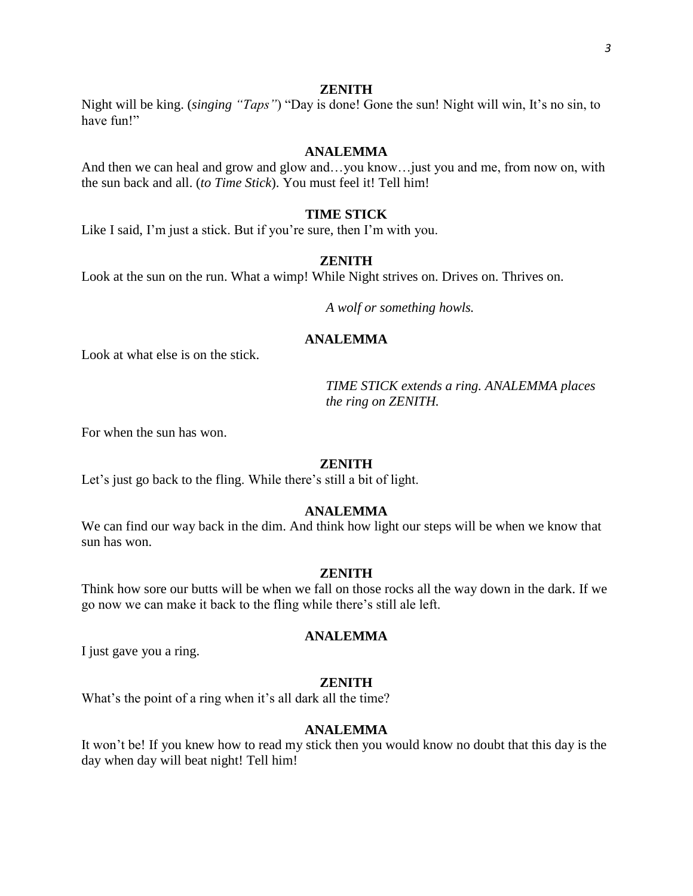### **ZENITH**

Night will be king. (*singing "Taps"*) "Day is done! Gone the sun! Night will win, It's no sin, to have fun!"

# **ANALEMMA**

And then we can heal and grow and glow and…you know… just you and me, from now on, with the sun back and all. (*to Time Stick*). You must feel it! Tell him!

### **TIME STICK**

Like I said, I'm just a stick. But if you're sure, then I'm with you.

# **ZENITH**

Look at the sun on the run. What a wimp! While Night strives on. Drives on. Thrives on.

*A wolf or something howls.*

### **ANALEMMA**

Look at what else is on the stick.

*TIME STICK extends a ring. ANALEMMA places the ring on ZENITH.*

For when the sun has won.

### **ZENITH**

Let's just go back to the fling. While there's still a bit of light.

### **ANALEMMA**

We can find our way back in the dim. And think how light our steps will be when we know that sun has won.

### **ZENITH**

Think how sore our butts will be when we fall on those rocks all the way down in the dark. If we go now we can make it back to the fling while there's still ale left.

### **ANALEMMA**

I just gave you a ring.

### **ZENITH**

What's the point of a ring when it's all dark all the time?

# **ANALEMMA**

It won't be! If you knew how to read my stick then you would know no doubt that this day is the day when day will beat night! Tell him!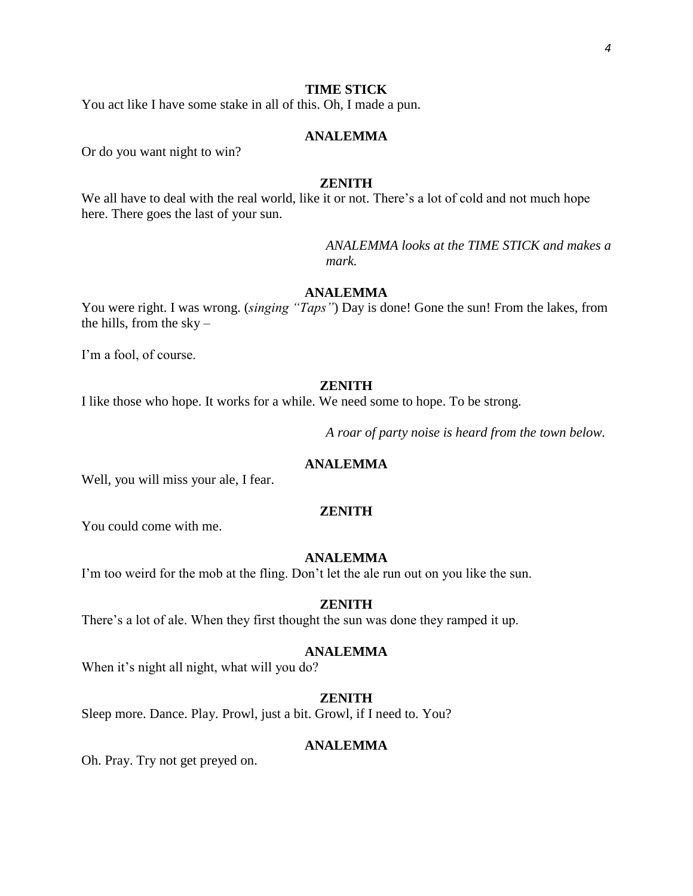# **TIME STICK**

You act like I have some stake in all of this. Oh, I made a pun.

# **ANALEMMA**

Or do you want night to win?

### **ZENITH**

We all have to deal with the real world, like it or not. There's a lot of cold and not much hope here. There goes the last of your sun.

> *ANALEMMA looks at the TIME STICK and makes a mark.*

# **ANALEMMA**

You were right. I was wrong. (*singing "Taps"*) Day is done! Gone the sun! From the lakes, from the hills, from the sky –

I'm a fool, of course.

### **ZENITH**

I like those who hope. It works for a while. We need some to hope. To be strong.

*A roar of party noise is heard from the town below.*

### **ANALEMMA**

Well, you will miss your ale, I fear.

# **ZENITH**

You could come with me.

### **ANALEMMA**

I'm too weird for the mob at the fling. Don't let the ale run out on you like the sun.

### **ZENITH**

There's a lot of ale. When they first thought the sun was done they ramped it up.

### **ANALEMMA**

When it's night all night, what will you do?

# **ZENITH**

Sleep more. Dance. Play. Prowl, just a bit. Growl, if I need to. You?

### **ANALEMMA**

Oh. Pray. Try not get preyed on.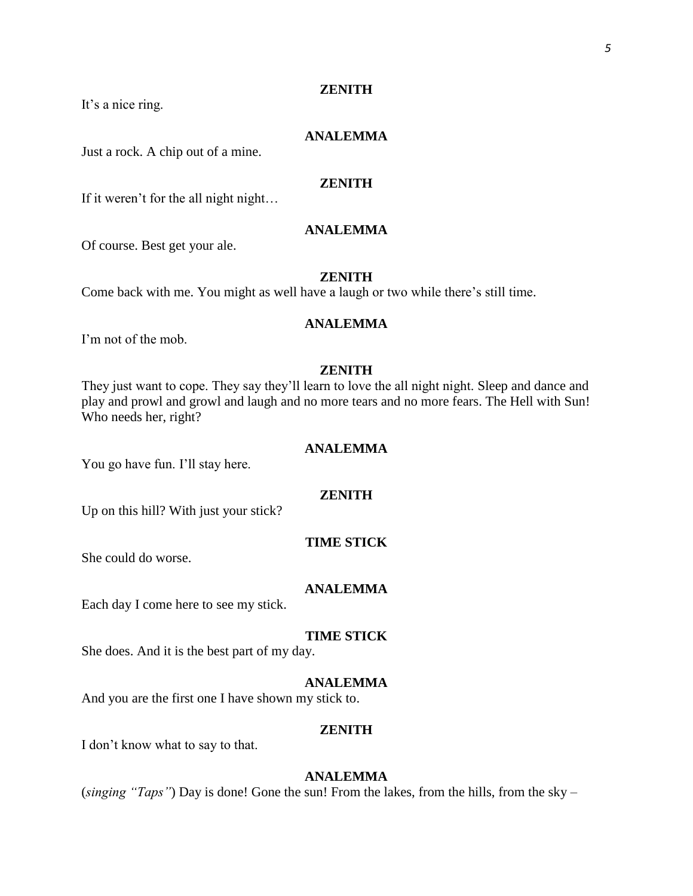### **ZENITH**

It's a nice ring.

# **ANALEMMA**

Just a rock. A chip out of a mine.

# **ZENITH**

If it weren't for the all night night…

# **ANALEMMA**

Of course. Best get your ale.

# **ZENITH**

Come back with me. You might as well have a laugh or two while there's still time.

# **ANALEMMA**

I'm not of the mob.

### **ZENITH**

They just want to cope. They say they'll learn to love the all night night. Sleep and dance and play and prowl and growl and laugh and no more tears and no more fears. The Hell with Sun! Who needs her, right?

### **ANALEMMA**

You go have fun. I'll stay here.

### **ZENITH**

Up on this hill? With just your stick?

# **TIME STICK**

She could do worse.

### **ANALEMMA**

Each day I come here to see my stick.

### **TIME STICK**

She does. And it is the best part of my day.

### **ANALEMMA**

And you are the first one I have shown my stick to.

# **ZENITH**

I don't know what to say to that.

# **ANALEMMA**

(*singing "Taps"*) Day is done! Gone the sun! From the lakes, from the hills, from the sky –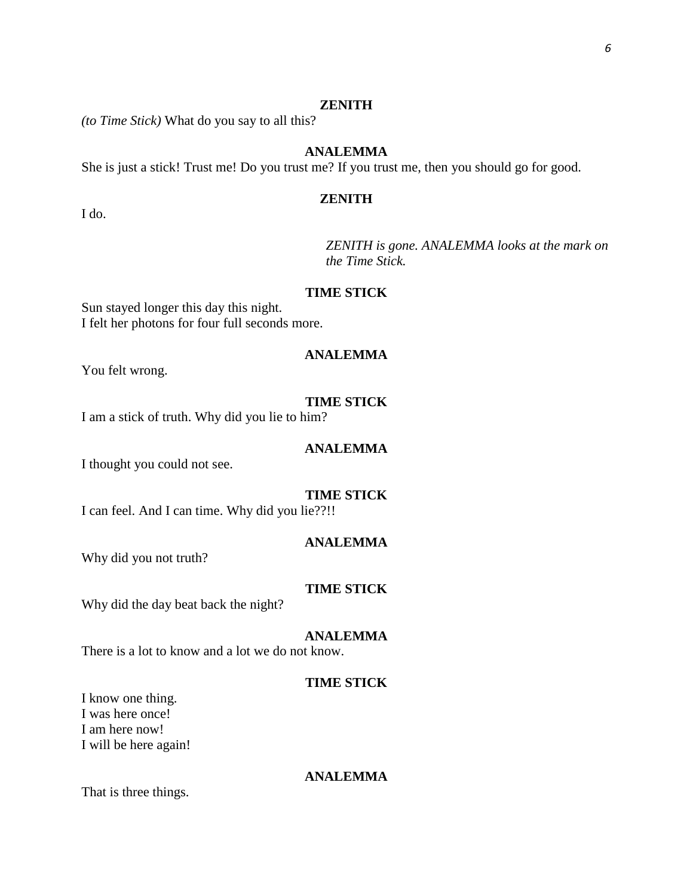### **ZENITH**

*(to Time Stick)* What do you say to all this?

# **ANALEMMA**

She is just a stick! Trust me! Do you trust me? If you trust me, then you should go for good.

# **ZENITH**

I do.

*ZENITH is gone. ANALEMMA looks at the mark on the Time Stick.*

# **TIME STICK**

Sun stayed longer this day this night. I felt her photons for four full seconds more.

### You felt wrong.

**ANALEMMA**

**TIME STICK** I am a stick of truth. Why did you lie to him?

### **ANALEMMA**

I thought you could not see.

#### **TIME STICK**

I can feel. And I can time. Why did you lie??!!

# **ANALEMMA**

Why did you not truth?

### **TIME STICK**

Why did the day beat back the night?

#### **ANALEMMA**

There is a lot to know and a lot we do not know.

### **TIME STICK**

I know one thing. I was here once! I am here now! I will be here again!

### **ANALEMMA**

That is three things.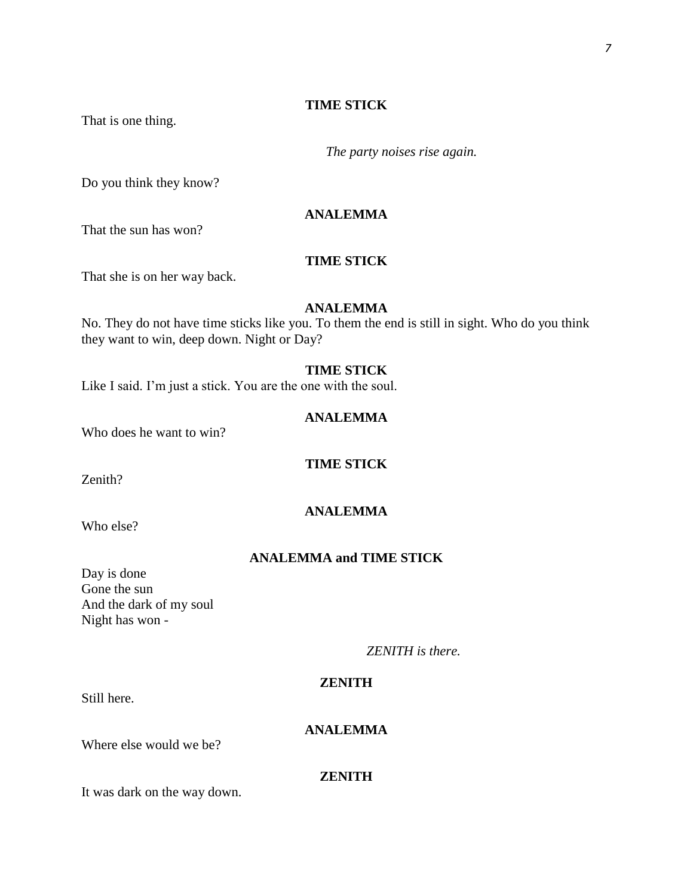### **TIME STICK**

That is one thing.

*The party noises rise again.*

Do you think they know?

# **ANALEMMA**

That the sun has won?

# **TIME STICK**

That she is on her way back.

### **ANALEMMA**

No. They do not have time sticks like you. To them the end is still in sight. Who do you think they want to win, deep down. Night or Day?

# **TIME STICK**

Like I said. I'm just a stick. You are the one with the soul.

# **ANALEMMA**

Who does he want to win?

### **TIME STICK**

Zenith?

Who else?

# **ANALEMMA**

### **ANALEMMA and TIME STICK**

Day is done Gone the sun And the dark of my soul Night has won -

*ZENITH is there.*

# **ZENITH**

Still here.

# **ANALEMMA**

Where else would we be?

# **ZENITH**

It was dark on the way down.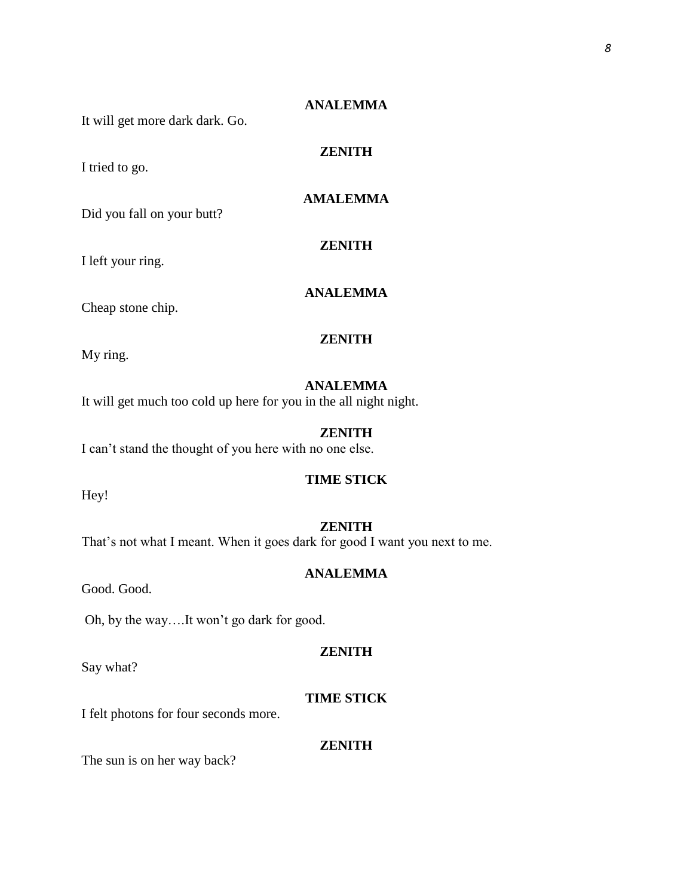# **ANALEMMA**

**ZENITH**

It will get more dark dark. Go.

I tried to go.

**AMALEMMA**

Did you fall on your butt?

I left your ring.

Cheap stone chip.

# **ANALEMMA**

**ZENITH**

# **ZENITH**

My ring.

# **ANALEMMA**

It will get much too cold up here for you in the all night night.

# **ZENITH**

I can't stand the thought of you here with no one else.

# **TIME STICK**

Hey!

### **ZENITH**

That's not what I meant. When it goes dark for good I want you next to me.

# **ANALEMMA**

Good. Good.

Oh, by the way….It won't go dark for good.

# **ZENITH**

Say what?

# **TIME STICK**

I felt photons for four seconds more.

## **ZENITH**

The sun is on her way back?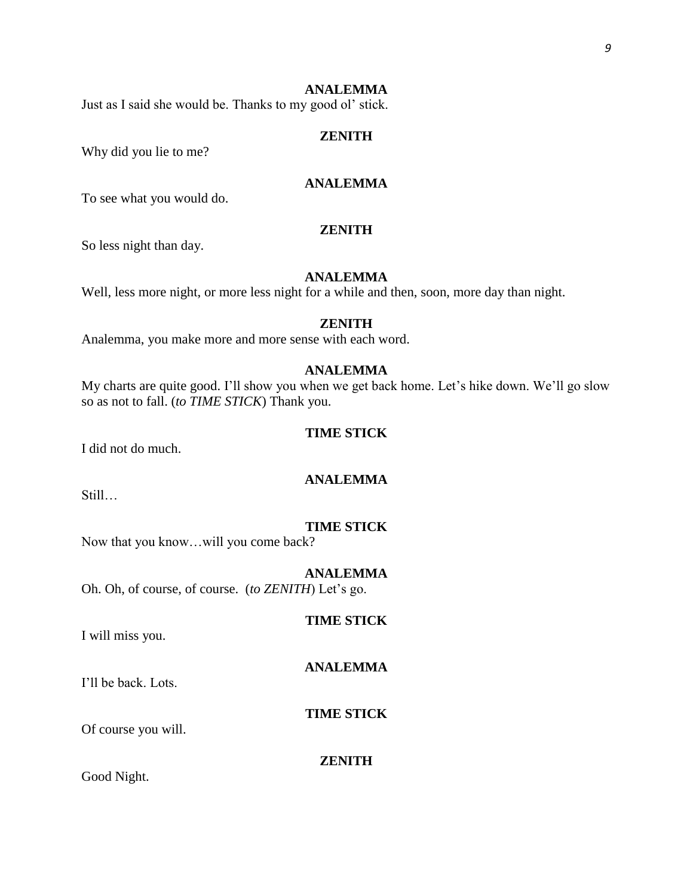# **ANALEMMA**

Just as I said she would be. Thanks to my good ol' stick.

### **ZENITH**

Why did you lie to me?

# **ANALEMMA**

To see what you would do.

# **ZENITH**

So less night than day.

# **ANALEMMA**

Well, less more night, or more less night for a while and then, soon, more day than night.

# **ZENITH**

Analemma, you make more and more sense with each word.

# **ANALEMMA**

My charts are quite good. I'll show you when we get back home. Let's hike down. We'll go slow so as not to fall. (*to TIME STICK*) Thank you.

# **TIME STICK**

I did not do much.

# **ANALEMMA**

Still…

### **TIME STICK**

Now that you know…will you come back?

### **ANALEMMA**

Oh. Oh, of course, of course. (*to ZENITH*) Let's go.

### **TIME STICK**

**ANALEMMA**

I will miss you.

I'll be back. Lots.

### **TIME STICK**

Of course you will.

### **ZENITH**

Good Night.